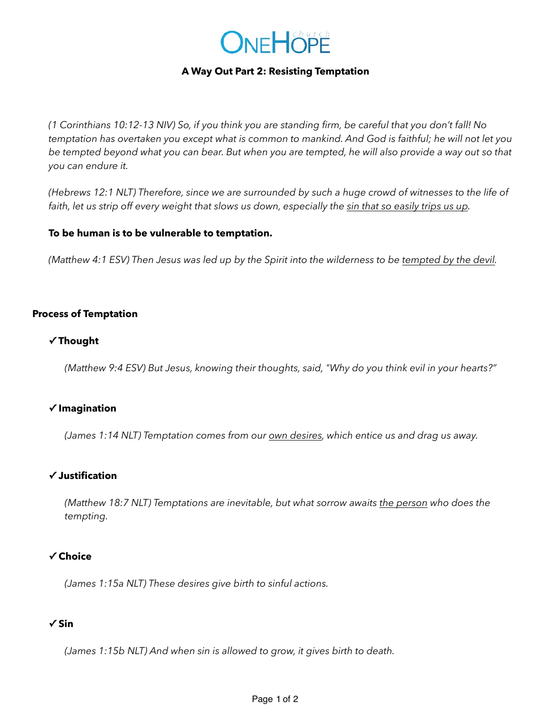

#### **A Way Out Part 2: Resisting Temptation**

*(1 Corinthians 10:12-13 NIV) So, if you think you are standing firm, be careful that you don't fall! No temptation has overtaken you except what is common to mankind. And God is faithful; he will not let you be tempted beyond what you can bear. But when you are tempted, he will also provide a way out so that you can endure it.*

*(Hebrews 12:1 NLT) Therefore, since we are surrounded by such a huge crowd of witnesses to the life of*  faith, let us strip off every weight that slows us down, especially the sin that so easily trips us up.

#### **To be human is to be vulnerable to temptation.**

*(Matthew 4:1 ESV) Then Jesus was led up by the Spirit into the wilderness to be tempted by the devil.*

## **Process of Temptation**

## **✓ Thought**

*(Matthew 9:4 ESV) But Jesus, knowing their thoughts, said, "Why do you think evil in your hearts?"* 

# **✓ Imagination**

*(James 1:14 NLT) Temptation comes from our own desires, which entice us and drag us away.*

#### **✓ Justification**

*(Matthew 18:7 NLT) Temptations are inevitable, but what sorrow awaits the person who does the tempting.*

#### **✓ Choice**

*(James 1:15a NLT) These desires give birth to sinful actions.*

#### **✓ Sin**

*(James 1:15b NLT) And when sin is allowed to grow, it gives birth to death.*